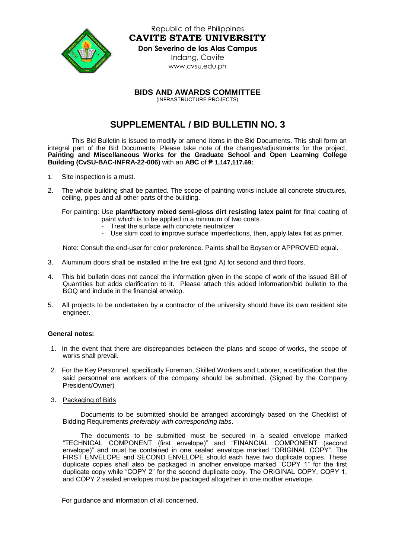

Republic of the Philippines **CAVITE STATE UNIVERSITY Don Severino de las Alas Campus** Indang, Cavite [www.cvsu.edu.ph](http://www.cvsu.edu.ph/)

**BIDS AND AWARDS COMMITTEE**

(INFRASTRUCTURE PROJECTS)

## **SUPPLEMENTAL / BID BULLETIN NO. 3**

This Bid Bulletin is issued to modify or amend items in the Bid Documents. This shall form an integral part of the Bid Documents. Please take note of the changes/adjustments for the project, **Painting and Miscellaneous Works for the Graduate School and Open Learning College Building (CvSU-BAC-INFRA-22-006)** with an **ABC** of **₱ 1,147,117.69:**

- 1. Site inspection is a must.
- 2. The whole building shall be painted. The scope of painting works include all concrete structures, ceiling, pipes and all other parts of the building.

For painting: Use **plant/factory mixed semi-gloss dirt resisting latex paint** for final coating of paint which is to be applied in a minimum of two coats.

- Treat the surface with concrete neutralizer
- Use skim coat to improve surface imperfections, then, apply latex flat as primer.

Note: Consult the end-user for color preference. Paints shall be Boysen or APPROVED equal.

- 3. Aluminum doors shall be installed in the fire exit (grid A) for second and third floors.
- 4. This bid bulletin does not cancel the information given in the scope of work of the issued Bill of Quantities but adds clarification to it. Please attach this added information/bid bulletin to the BOQ and include in the financial envelop.
- 5. All projects to be undertaken by a contractor of the university should have its own resident site engineer.

## **General notes:**

- 1. In the event that there are discrepancies between the plans and scope of works, the scope of works shall prevail.
- 2. For the Key Personnel, specifically Foreman, Skilled Workers and Laborer, a certification that the said personnel are workers of the company should be submitted. (Signed by the Company President/Owner)
- 3. Packaging of Bids

Documents to be submitted should be arranged accordingly based on the Checklist of Bidding Requirements *preferably with corresponding tabs*.

The documents to be submitted must be secured in a sealed envelope marked "TECHNICAL COMPONENT (first envelope)" and "FINANCIAL COMPONENT (second envelope)" and must be contained in one sealed envelope marked "ORIGINAL COPY". The FIRST ENVELOPE and SECOND ENVELOPE should each have two duplicate copies. These duplicate copies shall also be packaged in another envelope marked "COPY 1" for the first duplicate copy while "COPY 2" for the second duplicate copy. The ORIGINAL COPY, COPY 1, and COPY 2 sealed envelopes must be packaged altogether in one mother envelope.

For guidance and information of all concerned.